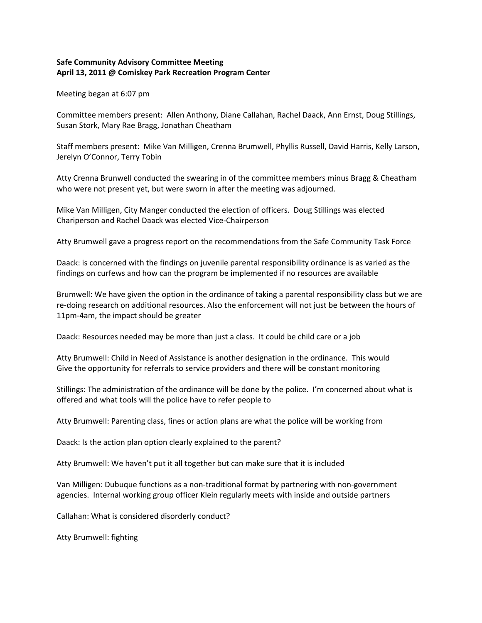## **Safe Community Advisory Committee Meeting April 13, 2011 @ Comiskey Park Recreation Program Center**

Meeting began at 6:07 pm

Committee members present: Allen Anthony, Diane Callahan, Rachel Daack, Ann Ernst, Doug Stillings, Susan Stork, Mary Rae Bragg, Jonathan Cheatham

Staff members present: Mike Van Milligen, Crenna Brumwell, Phyllis Russell, David Harris, Kelly Larson, Jerelyn O'Connor, Terry Tobin

Atty Crenna Brunwell conducted the swearing in of the committee members minus Bragg & Cheatham who were not present yet, but were sworn in after the meeting was adjourned.

Mike Van Milligen, City Manger conducted the election of officers. Doug Stillings was elected Chariperson and Rachel Daack was elected Vice‐Chairperson

Atty Brumwell gave a progress report on the recommendations from the Safe Community Task Force

Daack: is concerned with the findings on juvenile parental responsibility ordinance is as varied as the findings on curfews and how can the program be implemented if no resources are available

Brumwell: We have given the option in the ordinance of taking a parental responsibility class but we are re-doing research on additional resources. Also the enforcement will not just be between the hours of 11pm‐4am, the impact should be greater

Daack: Resources needed may be more than just a class. It could be child care or a job

Atty Brumwell: Child in Need of Assistance is another designation in the ordinance. This would Give the opportunity for referrals to service providers and there will be constant monitoring

Stillings: The administration of the ordinance will be done by the police. I'm concerned about what is offered and what tools will the police have to refer people to

Atty Brumwell: Parenting class, fines or action plans are what the police will be working from

Daack: Is the action plan option clearly explained to the parent?

Atty Brumwell: We haven't put it all together but can make sure that it is included

Van Milligen: Dubuque functions as a non‐traditional format by partnering with non‐government agencies. Internal working group officer Klein regularly meets with inside and outside partners

Callahan: What is considered disorderly conduct?

Atty Brumwell: fighting